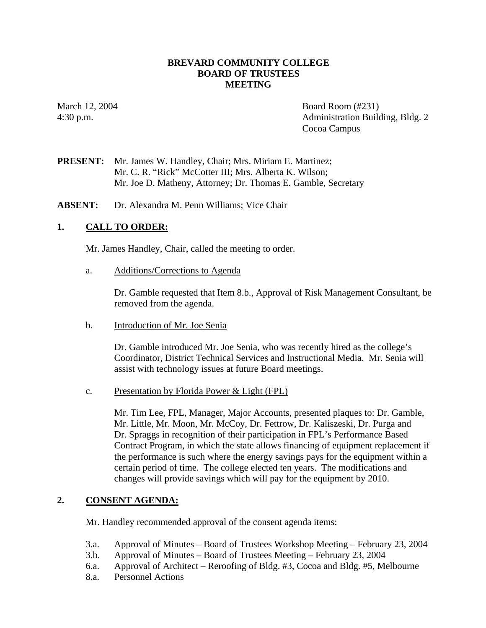#### **BREVARD COMMUNITY COLLEGE BOARD OF TRUSTEES MEETING**

March 12, 2004 Board Room (#231) 4:30 p.m. Administration Building, Bldg. 2 Cocoa Campus

**PRESENT:** Mr. James W. Handley, Chair; Mrs. Miriam E. Martinez; Mr. C. R. "Rick" McCotter III; Mrs. Alberta K. Wilson; Mr. Joe D. Matheny, Attorney; Dr. Thomas E. Gamble, Secretary

**ABSENT:** Dr. Alexandra M. Penn Williams; Vice Chair

### **1. CALL TO ORDER:**

Mr. James Handley, Chair, called the meeting to order.

a. Additions/Corrections to Agenda

Dr. Gamble requested that Item 8.b., Approval of Risk Management Consultant, be removed from the agenda.

b. Introduction of Mr. Joe Senia

Dr. Gamble introduced Mr. Joe Senia, who was recently hired as the college's Coordinator, District Technical Services and Instructional Media. Mr. Senia will assist with technology issues at future Board meetings.

c. Presentation by Florida Power & Light (FPL)

Mr. Tim Lee, FPL, Manager, Major Accounts, presented plaques to: Dr. Gamble, Mr. Little, Mr. Moon, Mr. McCoy, Dr. Fettrow, Dr. Kaliszeski, Dr. Purga and Dr. Spraggs in recognition of their participation in FPL's Performance Based Contract Program, in which the state allows financing of equipment replacement if the performance is such where the energy savings pays for the equipment within a certain period of time. The college elected ten years. The modifications and changes will provide savings which will pay for the equipment by 2010.

#### **2. CONSENT AGENDA:**

Mr. Handley recommended approval of the consent agenda items:

- 3.a. Approval of Minutes Board of Trustees Workshop Meeting February 23, 2004
- 3.b. Approval of Minutes Board of Trustees Meeting February 23, 2004
- 6.a. Approval of Architect Reroofing of Bldg. #3, Cocoa and Bldg. #5, Melbourne
- 8.a. Personnel Actions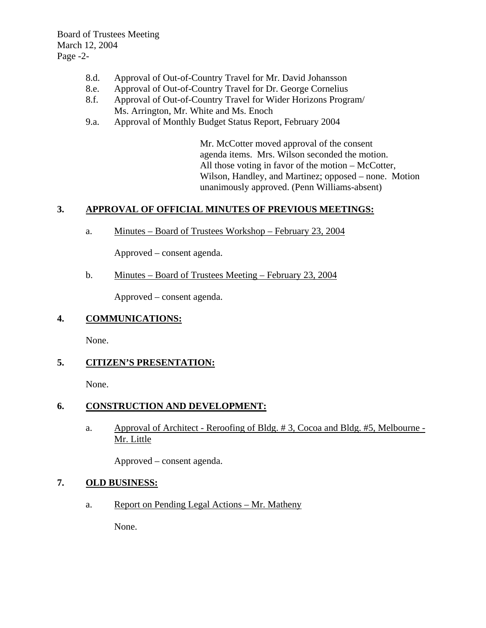Board of Trustees Meeting March 12, 2004 Page -2-

- 8.d. Approval of Out-of-Country Travel for Mr. David Johansson
- 8.e. Approval of Out-of-Country Travel for Dr. George Cornelius
- 8.f. Approval of Out-of-Country Travel for Wider Horizons Program/ Ms. Arrington, Mr. White and Ms. Enoch
- 9.a. Approval of Monthly Budget Status Report, February 2004

Mr. McCotter moved approval of the consent agenda items. Mrs. Wilson seconded the motion. All those voting in favor of the motion – McCotter, Wilson, Handley, and Martinez; opposed – none. Motion unanimously approved. (Penn Williams-absent)

# **3. APPROVAL OF OFFICIAL MINUTES OF PREVIOUS MEETINGS:**

a. Minutes – Board of Trustees Workshop – February 23, 2004

Approved – consent agenda.

b. Minutes – Board of Trustees Meeting – February 23, 2004

Approved – consent agenda.

# **4. COMMUNICATIONS:**

None.

# **5. CITIZEN'S PRESENTATION:**

None.

# **6. CONSTRUCTION AND DEVELOPMENT:**

a. Approval of Architect - Reroofing of Bldg. # 3, Cocoa and Bldg. #5, Melbourne - Mr. Little

Approved – consent agenda.

# **7. OLD BUSINESS:**

a. Report on Pending Legal Actions – Mr. Matheny

None.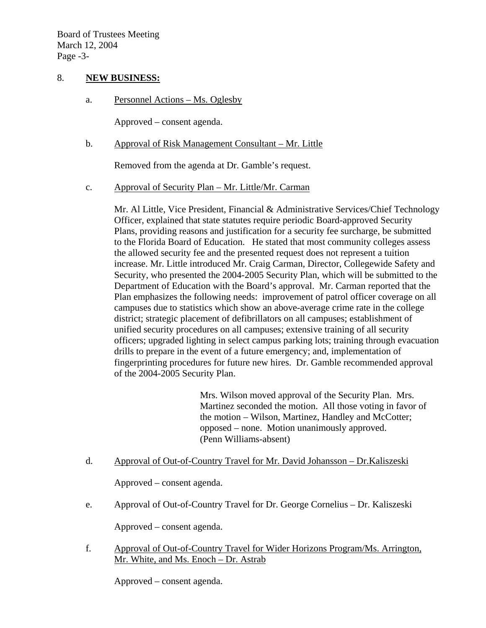#### 8. **NEW BUSINESS:**

a. Personnel Actions – Ms. Oglesby

Approved – consent agenda.

b. Approval of Risk Management Consultant – Mr. Little

Removed from the agenda at Dr. Gamble's request.

c. Approval of Security Plan – Mr. Little/Mr. Carman

Mr. Al Little, Vice President, Financial & Administrative Services/Chief Technology Officer, explained that state statutes require periodic Board-approved Security Plans, providing reasons and justification for a security fee surcharge, be submitted to the Florida Board of Education. He stated that most community colleges assess the allowed security fee and the presented request does not represent a tuition increase. Mr. Little introduced Mr. Craig Carman, Director, Collegewide Safety and Security, who presented the 2004-2005 Security Plan, which will be submitted to the Department of Education with the Board's approval. Mr. Carman reported that the Plan emphasizes the following needs: improvement of patrol officer coverage on all campuses due to statistics which show an above-average crime rate in the college district; strategic placement of defibrillators on all campuses; establishment of unified security procedures on all campuses; extensive training of all security officers; upgraded lighting in select campus parking lots; training through evacuation drills to prepare in the event of a future emergency; and, implementation of fingerprinting procedures for future new hires. Dr. Gamble recommended approval of the 2004-2005 Security Plan.

> Mrs. Wilson moved approval of the Security Plan. Mrs. Martinez seconded the motion. All those voting in favor of the motion – Wilson, Martinez, Handley and McCotter; opposed – none. Motion unanimously approved. (Penn Williams-absent)

d. Approval of Out-of-Country Travel for Mr. David Johansson – Dr.Kaliszeski

Approved – consent agenda.

e. Approval of Out-of-Country Travel for Dr. George Cornelius – Dr. Kaliszeski

Approved – consent agenda.

 f. Approval of Out-of-Country Travel for Wider Horizons Program/Ms. Arrington, Mr. White, and Ms. Enoch – Dr. Astrab

Approved – consent agenda.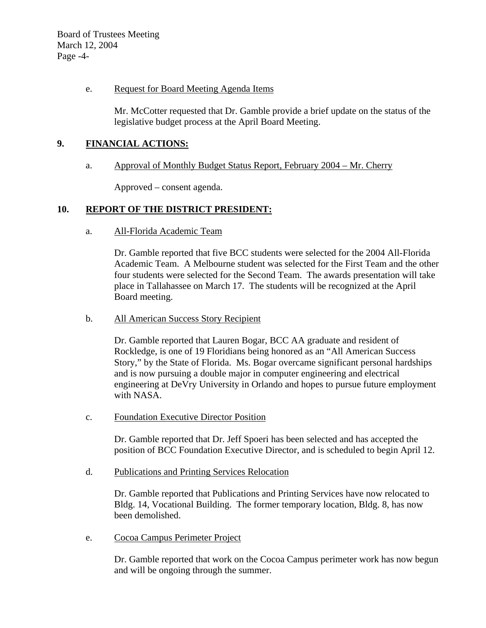Board of Trustees Meeting March 12, 2004 Page -4-

#### e. Request for Board Meeting Agenda Items

Mr. McCotter requested that Dr. Gamble provide a brief update on the status of the legislative budget process at the April Board Meeting.

# **9. FINANCIAL ACTIONS:**

#### a. Approval of Monthly Budget Status Report, February 2004 – Mr. Cherry

Approved – consent agenda.

# **10. REPORT OF THE DISTRICT PRESIDENT:**

#### a. All-Florida Academic Team

Dr. Gamble reported that five BCC students were selected for the 2004 All-Florida Academic Team. A Melbourne student was selected for the First Team and the other four students were selected for the Second Team. The awards presentation will take place in Tallahassee on March 17. The students will be recognized at the April Board meeting.

#### b. All American Success Story Recipient

Dr. Gamble reported that Lauren Bogar, BCC AA graduate and resident of Rockledge, is one of 19 Floridians being honored as an "All American Success Story," by the State of Florida. Ms. Bogar overcame significant personal hardships and is now pursuing a double major in computer engineering and electrical engineering at DeVry University in Orlando and hopes to pursue future employment with NASA.

c. Foundation Executive Director Position

Dr. Gamble reported that Dr. Jeff Spoeri has been selected and has accepted the position of BCC Foundation Executive Director, and is scheduled to begin April 12.

d. Publications and Printing Services Relocation

Dr. Gamble reported that Publications and Printing Services have now relocated to Bldg. 14, Vocational Building. The former temporary location, Bldg. 8, has now been demolished.

e. Cocoa Campus Perimeter Project

Dr. Gamble reported that work on the Cocoa Campus perimeter work has now begun and will be ongoing through the summer.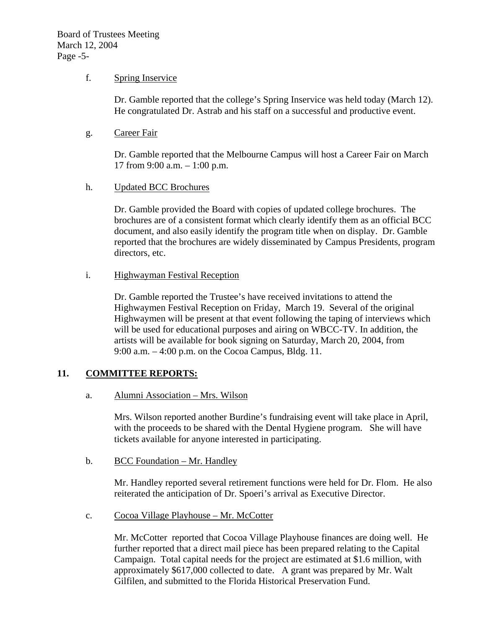#### f. Spring Inservice

Dr. Gamble reported that the college's Spring Inservice was held today (March 12). He congratulated Dr. Astrab and his staff on a successful and productive event.

g. Career Fair

Dr. Gamble reported that the Melbourne Campus will host a Career Fair on March 17 from 9:00 a.m. – 1:00 p.m.

#### h. Updated BCC Brochures

Dr. Gamble provided the Board with copies of updated college brochures. The brochures are of a consistent format which clearly identify them as an official BCC document, and also easily identify the program title when on display. Dr. Gamble reported that the brochures are widely disseminated by Campus Presidents, program directors, etc.

i. Highwayman Festival Reception

Dr. Gamble reported the Trustee's have received invitations to attend the Highwaymen Festival Reception on Friday, March 19. Several of the original Highwaymen will be present at that event following the taping of interviews which will be used for educational purposes and airing on WBCC-TV. In addition, the artists will be available for book signing on Saturday, March 20, 2004, from 9:00 a.m. – 4:00 p.m. on the Cocoa Campus, Bldg. 11.

# **11. COMMITTEE REPORTS:**

a. Alumni Association – Mrs. Wilson

Mrs. Wilson reported another Burdine's fundraising event will take place in April, with the proceeds to be shared with the Dental Hygiene program. She will have tickets available for anyone interested in participating.

b. BCC Foundation – Mr. Handley

Mr. Handley reported several retirement functions were held for Dr. Flom. He also reiterated the anticipation of Dr. Spoeri's arrival as Executive Director.

c. Cocoa Village Playhouse – Mr. McCotter

Mr. McCotter reported that Cocoa Village Playhouse finances are doing well. He further reported that a direct mail piece has been prepared relating to the Capital Campaign. Total capital needs for the project are estimated at \$1.6 million, with approximately \$617,000 collected to date. A grant was prepared by Mr. Walt Gilfilen, and submitted to the Florida Historical Preservation Fund.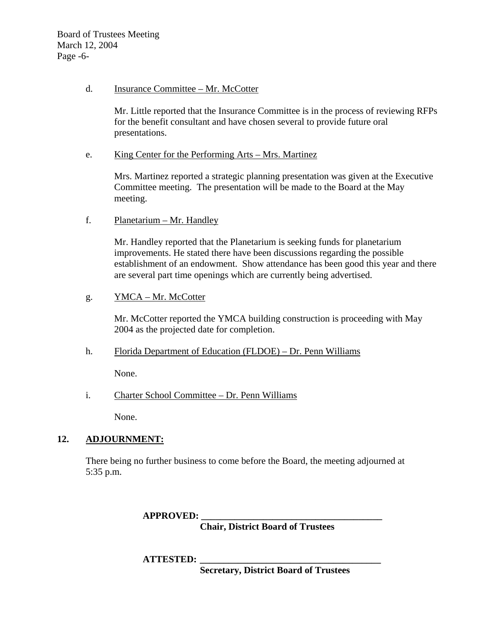Board of Trustees Meeting March 12, 2004 Page -6-

#### d. Insurance Committee – Mr. McCotter

Mr. Little reported that the Insurance Committee is in the process of reviewing RFPs for the benefit consultant and have chosen several to provide future oral presentations.

e. King Center for the Performing Arts – Mrs. Martinez

Mrs. Martinez reported a strategic planning presentation was given at the Executive Committee meeting. The presentation will be made to the Board at the May meeting.

f. Planetarium – Mr. Handley

Mr. Handley reported that the Planetarium is seeking funds for planetarium improvements. He stated there have been discussions regarding the possible establishment of an endowment. Show attendance has been good this year and there are several part time openings which are currently being advertised.

g. YMCA – Mr. McCotter

Mr. McCotter reported the YMCA building construction is proceeding with May 2004 as the projected date for completion.

h. Florida Department of Education (FLDOE) – Dr. Penn Williams

None.

i. Charter School Committee – Dr. Penn Williams

None.

# **12. ADJOURNMENT:**

There being no further business to come before the Board, the meeting adjourned at 5:35 p.m.

**APPROVED: \_\_\_\_\_\_\_\_\_\_\_\_\_\_\_\_\_\_\_\_\_\_\_\_\_\_\_\_\_\_\_\_\_\_\_\_\_\_** 

 **Chair, District Board of Trustees** 

 **ATTESTED: \_\_\_\_\_\_\_\_\_\_\_\_\_\_\_\_\_\_\_\_\_\_\_\_\_\_\_\_\_\_\_\_\_\_\_\_\_\_** 

 **Secretary, District Board of Trustees**